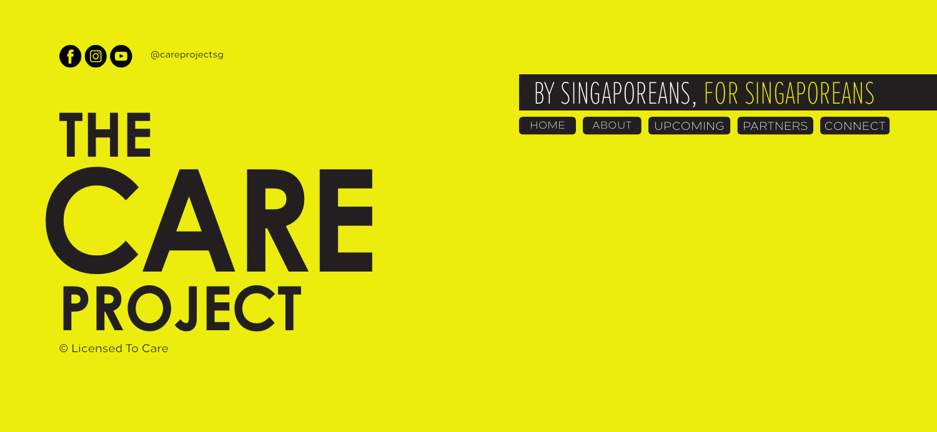

@careprojectsg



© Licensed To Care



HOME ABOUT UPCOMING PARTNERS CONNECT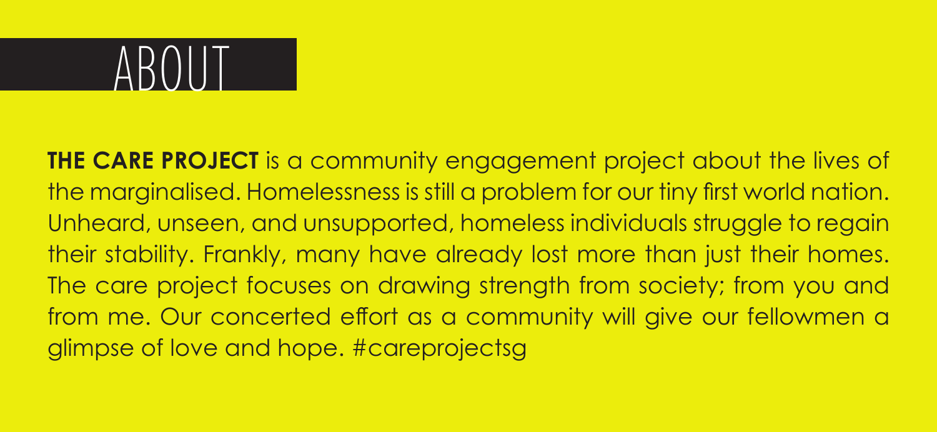# $AROM$

**THE CARE PROJECT** is a community engagement project about the lives of the marginalised. Homelessness is still a problem for our tiny first world nation. Unheard, unseen, and unsupported, homeless individuals struggle to regain their stability. Frankly, many have already lost more than just their homes. The care project focuses on drawing strength from society; from you and from me. Our concerted effort as a community will give our fellowmen a glimpse of love and hope. #careprojectsg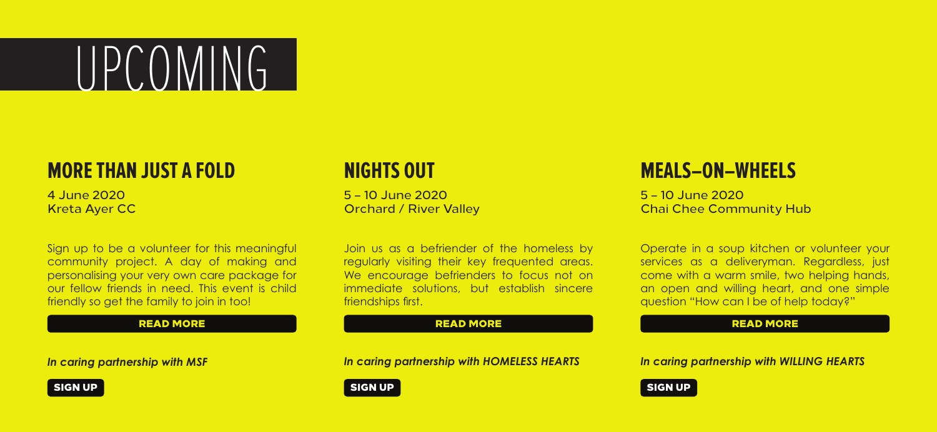# UPCOMING

## **MORE THAN JUST A FOLD NIGHTS OUT MEALS–ON–WHEELS**

Kreta Ayer CC

Sign up to be a volunteer for this meaningful community project. A day of making and personalising your very own care package for our fellow friends in need. This event is child friendly so get the family to join in too!

*In caring partnership with MSF*



4 June 2020 5 – 10 June 2020 5 – 10 June 2020

Join us as a befriender of the homeless by regularly visiting their key frequented areas. We encourage befrienders to focus not on immediate solutions, but establish sincere friendships first.

## READ MORE READ MORE READ MORE

*In caring partnership with HOMELESS HEARTS In caring partnership with WILLING HEARTS*

SIGN UP A RELEASE OF THE SIGN UP SIGN UP A RELEASE OF THE SIGN UP AND LOCAL CONTROL OF THE SIGN UP AND LOCAL CONTROL OF THE SIGN UP AND LOCAL CONTROL OF THE SIGN UP AND LOCAL CONTROL OF THE SIGN UP AND LOCAL CONTROL OF THE

Orchard / River Valley **Chai Chee Community Hub** 

Operate in a soup kitchen or volunteer your services as a deliveryman. Regardless, just come with a warm smile, two helping hands, an open and willing heart, and one simple question "How can I be of help today?"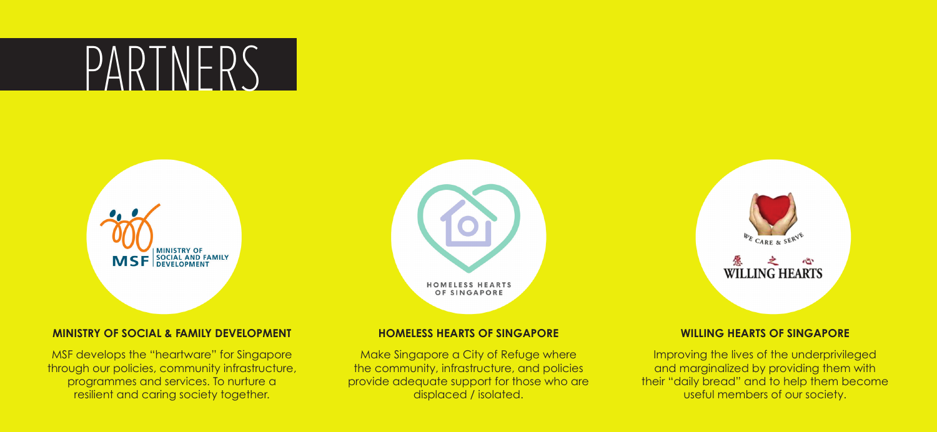# PARTNERS



## **MINISTRY OF SOCIAL & FAMILY DEVELOPMENT HOMELESS HEARTS OF SINGAPORE WILLING HEARTS OF SINGAPORE**

MSF develops the "heartware" for Singapore through our policies, community infrastructure, programmes and services. To nurture a resilient and caring society together.



Make Singapore a City of Refuge where the community, infrastructure, and policies provide adequate support for those who are displaced / isolated.



Improving the lives of the underprivileged and marginalized by providing them with their "daily bread" and to help them become useful members of our society.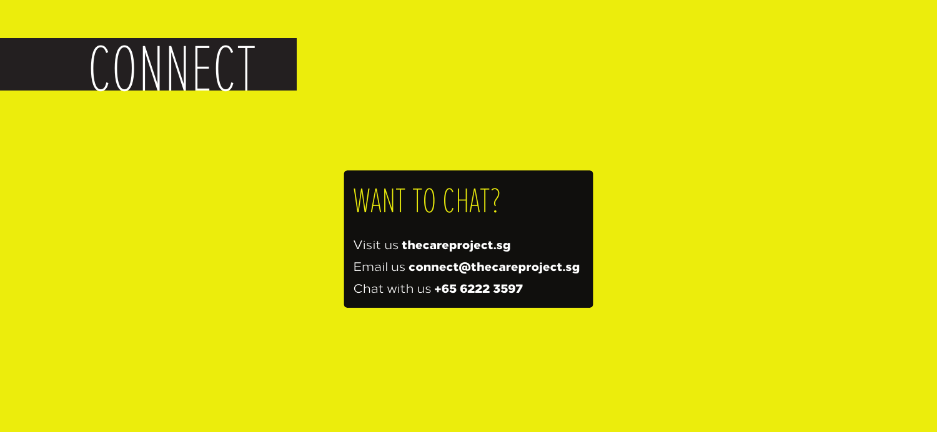# CONNECT

## WANT TO CHAT?

Visit us thecareproject.sg Email us connect@thecareproject.sg Chat with us +65 6222 3597